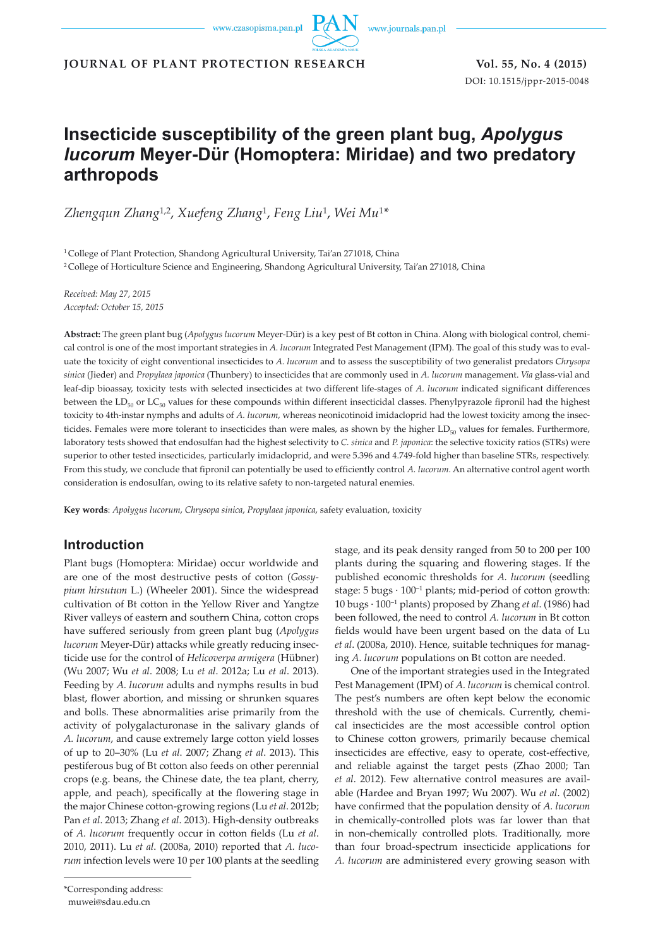www.journals.pan.pl

**JOURNAL OF PLANT PROTECTION RESEARCH Vol. 55, No. 4 (2015)**

DOI: 10.1515/jppr-2015-0048

# **Insecticide susceptibility of the green plant bug,** *Apolygus lucorum* **Meyer-Dür (Homoptera: Miridae) and two predatory arthropods**

*Zhengqun Zhang*1,2, *Xuefeng Zhang*1, *Feng Liu*1, *Wei Mu*<sup>1</sup>*\**

1 College of Plant Protection, Shandong Agricultural University, Tai'an 271018, China <sup>2</sup> College of Horticulture Science and Engineering, Shandong Agricultural University, Tai'an 271018, China

*Received: May 27, 2015 Accepted: October 15, 2015*

**Abstract:** The green plant bug (*Apolygus lucorum* Meyer-Dür) is a key pest of Bt cotton in China. Along with biological control, chemical control is one of the most important strategies in *A. lucorum* Integrated Pest Management (IPM). The goal of this study was to evaluate the toxicity of eight conventional insecticides to *A. lucorum* and to assess the susceptibility of two generalist predators *Chrysopa sinica* (Jieder) and *Propylaea japonica* (Thunbery) to insecticides that are commonly used in *A. lucorum* management. *Via* glass-vial and leaf-dip bioassay, toxicity tests with selected insecticides at two different life-stages of *A. lucorum* indicated significant differences between the  $LD_{50}$  or  $LC_{50}$  values for these compounds within different insecticidal classes. Phenylpyrazole fipronil had the highest toxicity to 4th-instar nymphs and adults of *A. lucorum*, whereas neonicotinoid imidacloprid had the lowest toxicity among the insecticides. Females were more tolerant to insecticides than were males, as shown by the higher  $LD_{50}$  values for females. Furthermore, laboratory tests showed that endosulfan had the highest selectivity to *C. sinica* and *P. japonica*: the selective toxicity ratios (STRs) were superior to other tested insecticides, particularly imidacloprid, and were 5.396 and 4.749-fold higher than baseline STRs, respectively. From this study, we conclude that fipronil can potentially be used to efficiently control *A. lucorum*. An alternative control agent worth consideration is endosulfan, owing to its relative safety to non-targeted natural enemies.

**Key words**: *Apolygus lucorum*, *Chrysopa sinica*, *Propylaea japonica*, safety evaluation, toxicity

## **Introduction**

Plant bugs (Homoptera: Miridae) occur worldwide and are one of the most destructive pests of cotton (*Gossypium hirsutum* L.) (Wheeler 2001). Since the widespread cultivation of Bt cotton in the Yellow River and Yangtze River valleys of eastern and southern China, cotton crops have suffered seriously from green plant bug (*Apolygus lucorum* Meyer-Dür) attacks while greatly reducing insecticide use for the control of *Helicoverpa armigera* (Hübner) (Wu 2007; Wu *et al*. 2008; Lu *et al*. 2012a; Lu *et al*. 2013). Feeding by *A. lucorum* adults and nymphs results in bud blast, flower abortion, and missing or shrunken squares and bolls. These abnormalities arise primarily from the activity of polygalacturonase in the salivary glands of *A. lucorum*, and cause extremely large cotton yield losses of up to 20–30% (Lu *et al*. 2007; Zhang *et al*. 2013). This pestiferous bug of Bt cotton also feeds on other perennial crops (e.g. beans, the Chinese date, the tea plant, cherry, apple, and peach), specifically at the flowering stage in the major Chinese cotton-growing regions (Lu *et al*. 2012b; Pan *et al*. 2013; Zhang *et al*. 2013). High-density outbreaks of *A. lucorum* frequently occur in cotton fields (Lu *et al*. 2010, 2011). Lu *et al*. (2008a, 2010) reported that *A. lucorum* infection levels were 10 per 100 plants at the seedling

\*Corresponding address:

stage, and its peak density ranged from 50 to 200 per 100 plants during the squaring and flowering stages. If the published economic thresholds for *A. lucorum* (seedling stage:  $5 \text{ bugs} \cdot 100^{-1} \text{ plants}$ ; mid-period of cotton growth: 10 bugs · 100–1 plants) proposed by Zhang *et al*. (1986) had been followed, the need to control *A. lucorum* in Bt cotton fields would have been urgent based on the data of Lu *et al*. (2008a, 2010). Hence, suitable techniques for managing *A. lucorum* populations on Bt cotton are needed.

One of the important strategies used in the Integrated Pest Management (IPM) of *A. lucorum* is chemical control. The pest's numbers are often kept below the economic threshold with the use of chemicals. Currently, chemical insecticides are the most accessible control option to Chinese cotton growers, primarily because chemical insecticides are effective, easy to operate, cost-effective, and reliable against the target pests (Zhao 2000; Tan *et al*. 2012). Few alternative control measures are available (Hardee and Bryan 1997; Wu 2007). Wu *et al*. (2002) have confirmed that the population density of *A. lucorum* in chemically-controlled plots was far lower than that in non-chemically controlled plots. Traditionally, more than four broad-spectrum insecticide applications for *A. lucorum* are administered every growing season with

muwei@sdau.edu.cn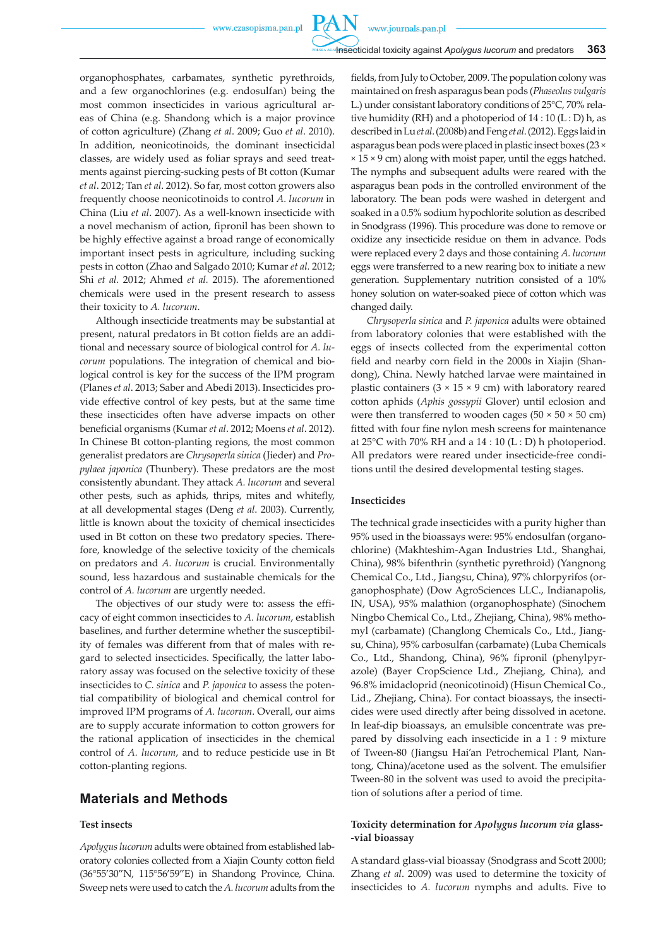

**PAN** 

organophosphates, carbamates, synthetic pyrethroids, and a few organochlorines (e.g. endosulfan) being the most common insecticides in various agricultural areas of China (e.g. Shandong which is a major province of cotton agriculture) (Zhang *et al*. 2009; Guo *et al*. 2010). In addition, neonicotinoids, the dominant insecticidal classes, are widely used as foliar sprays and seed treatments against piercing-sucking pests of Bt cotton (Kumar *et al*. 2012; Tan *et al*. 2012). So far, most cotton growers also frequently choose neonicotinoids to control *A. lucorum* in China (Liu *et al*. 2007). As a well-known insecticide with a novel mechanism of action, fipronil has been shown to be highly effective against a broad range of economically important insect pests in agriculture, including sucking pests in cotton (Zhao and Salgado 2010; Kumar *et al.* 2012; Shi *et al.* 2012; Ahmed *et al.* 2015). The aforementioned chemicals were used in the present research to assess their toxicity to *A. lucorum*.

Although insecticide treatments may be substantial at present, natural predators in Bt cotton fields are an additional and necessary source of biological control for *A. lucorum* populations. The integration of chemical and biological control is key for the success of the IPM program (Planes *et al*. 2013; Saber and Abedi 2013). Insecticides provide effective control of key pests, but at the same time these insecticides often have adverse impacts on other beneficial organisms (Kumar *et al*. 2012; Moens *et al*. 2012). In Chinese Bt cotton-planting regions, the most common generalist predators are *Chrysoperla sinica* (Jieder) and *Propylaea japonica* (Thunbery). These predators are the most consistently abundant. They attack *A. lucorum* and several other pests, such as aphids, thrips, mites and whitefly, at all developmental stages (Deng *et al*. 2003). Currently, little is known about the toxicity of chemical insecticides used in Bt cotton on these two predatory species. Therefore, knowledge of the selective toxicity of the chemicals on predators and *A. lucorum* is crucial. Environmentally sound, less hazardous and sustainable chemicals for the control of *A. lucorum* are urgently needed.

The objectives of our study were to: assess the efficacy of eight common insecticides to *A. lucorum*, establish baselines, and further determine whether the susceptibility of females was different from that of males with regard to selected insecticides. Specifically, the latter laboratory assay was focused on the selective toxicity of these insecticides to *C. sinica* and *P. japonica* to assess the potential compatibility of biological and chemical control for improved IPM programs of *A. lucorum*. Overall, our aims are to supply accurate information to cotton growers for the rational application of insecticides in the chemical control of *A. lucorum*, and to reduce pesticide use in Bt cotton-planting regions.

## **Materials and Methods**

#### **Test insects**

*Apolygus lucorum* adults were obtained from established laboratory colonies collected from a Xiajin County cotton field (36°55'30"N, 115°56'59"E) in Shandong Province, China. Sweep nets were used to catch the *A. lucorum* adults from the fields, from July to October, 2009. The population colony was maintained on fresh asparagus bean pods (*Phaseolus vulgaris* L.) under consistant laboratory conditions of 25°C, 70% relative humidity (RH) and a photoperiod of  $14:10$  (L:D) h, as described in Lu *et al*. (2008b) and Feng *et al*. (2012). Eggs laid in asparagus bean pods were placed in plastic insect boxes (23 × × 15 × 9 cm) along with moist paper, until the eggs hatched. The nymphs and subsequent adults were reared with the asparagus bean pods in the controlled environment of the laboratory. The bean pods were washed in detergent and soaked in a 0.5% sodium hypochlorite solution as described in Snodgrass (1996). This procedure was done to remove or oxidize any insecticide residue on them in advance. Pods were replaced every 2 days and those containing *A. lucorum* eggs were transferred to a new rearing box to initiate a new generation. Supplementary nutrition consisted of a 10% honey solution on water-soaked piece of cotton which was changed daily.

*Chrysoperla sinica* and *P. japonica* adults were obtained from laboratory colonies that were established with the eggs of insects collected from the experimental cotton field and nearby corn field in the 2000s in Xiajin (Shandong), China. Newly hatched larvae were maintained in plastic containers  $(3 \times 15 \times 9 \text{ cm})$  with laboratory reared cotton aphids (*Aphis gossypii* Glover) until eclosion and were then transferred to wooden cages  $(50 \times 50 \times 50 \text{ cm})$ fitted with four fine nylon mesh screens for maintenance at 25°C with 70% RH and a 14 : 10 (L : D) h photoperiod. All predators were reared under insecticide-free conditions until the desired developmental testing stages.

#### **Insecticides**

The technical grade insecticides with a purity higher than 95% used in the bioassays were: 95% endosulfan (organochlorine) (Makhteshim-Agan Industries Ltd., Shanghai, China), 98% bifenthrin (synthetic pyrethroid) (Yangnong Chemical Co., Ltd., Jiangsu, China), 97% chlorpyrifos (organophosphate) (Dow AgroSciences LLC., Indianapolis, IN, USA), 95% malathion (organophosphate) (Sinochem Ningbo Chemical Co., Ltd., Zhejiang, China), 98% methomyl (carbamate) (Changlong Chemicals Co., Ltd., Jiangsu, China), 95% carbosulfan (carbamate) (Luba Chemicals Co., Ltd., Shandong, China), 96% fipronil (phenylpyrazole) (Bayer CropScience Ltd., Zhejiang, China), and 96.8% imidacloprid (neonicotinoid) (Hisun Chemical Co., Lid., Zhejiang, China). For contact bioassays, the insecticides were used directly after being dissolved in acetone. In leaf-dip bioassays, an emulsible concentrate was prepared by dissolving each insecticide in a 1 : 9 mixture of Tween-80 (Jiangsu Hai'an Petrochemical Plant, Nantong, China)/acetone used as the solvent. The emulsifier Tween-80 in the solvent was used to avoid the precipitation of solutions after a period of time.

## **Toxicity determination for** *Apolygus lucorum via* **glass- -vial bioassay**

A standard glass-vial bioassay (Snodgrass and Scott 2000; Zhang *et al*. 2009) was used to determine the toxicity of insecticides to *A. lucorum* nymphs and adults. Five to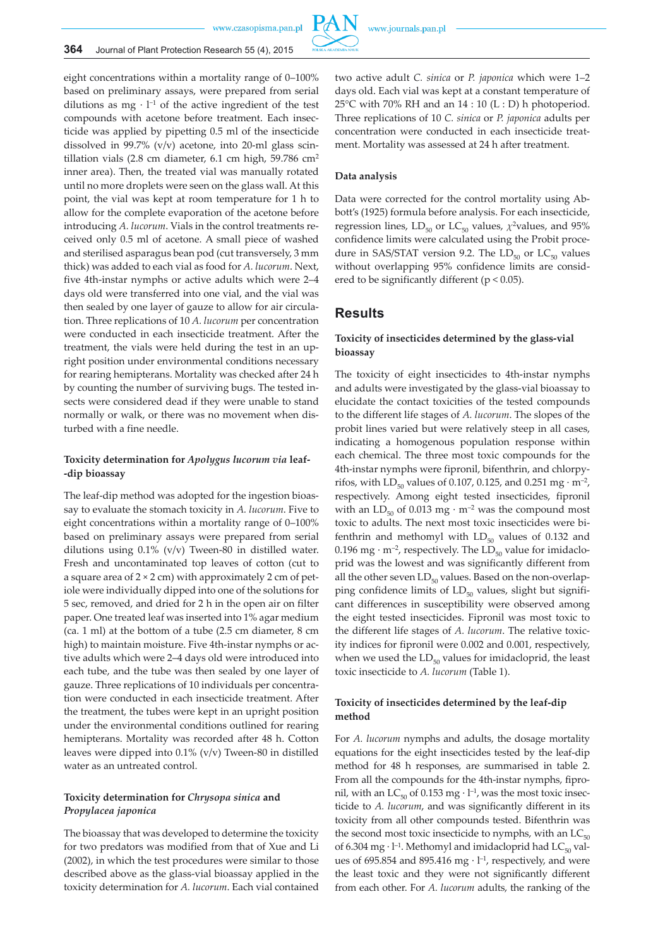

eight concentrations within a mortality range of 0–100% based on preliminary assays, were prepared from serial dilutions as mg · l−1 of the active ingredient of the test compounds with acetone before treatment. Each insecticide was applied by pipetting 0.5 ml of the insecticide dissolved in 99.7%  $(v/v)$  acetone, into 20-ml glass scintillation vials (2.8 cm diameter, 6.1 cm high, 59.786 cm<sup>2</sup> inner area). Then, the treated vial was manually rotated until no more droplets were seen on the glass wall. At this point, the vial was kept at room temperature for 1 h to allow for the complete evaporation of the acetone before introducing *A. lucorum*. Vials in the control treatments received only 0.5 ml of acetone. A small piece of washed and sterilised asparagus bean pod (cut transversely, 3 mm thick) was added to each vial as food for *A. lucorum*. Next, five 4th-instar nymphs or active adults which were 2–4 days old were transferred into one vial, and the vial was then sealed by one layer of gauze to allow for air circulation. Three replications of 10 *A. lucorum* per concentration were conducted in each insecticide treatment. After the treatment, the vials were held during the test in an upright position under environmental conditions necessary for rearing hemipterans. Mortality was checked after 24 h by counting the number of surviving bugs. The tested insects were considered dead if they were unable to stand normally or walk, or there was no movement when disturbed with a fine needle.

## **Toxicity determination for** *Apolygus lucorum via* **leaf- -dip bioassay**

The leaf-dip method was adopted for the ingestion bioassay to evaluate the stomach toxicity in *A. lucorum*. Five to eight concentrations within a mortality range of 0–100% based on preliminary assays were prepared from serial dilutions using 0.1% (v/v) Tween-80 in distilled water. Fresh and uncontaminated top leaves of cotton (cut to a square area of  $2 \times 2$  cm) with approximately 2 cm of petiole were individually dipped into one of the solutions for 5 sec, removed, and dried for 2 h in the open air on filter paper. One treated leaf was inserted into 1% agar medium (ca. 1 ml) at the bottom of a tube (2.5 cm diameter, 8 cm high) to maintain moisture. Five 4th-instar nymphs or active adults which were 2–4 days old were introduced into each tube, and the tube was then sealed by one layer of gauze. Three replications of 10 individuals per concentration were conducted in each insecticide treatment. After the treatment, the tubes were kept in an upright position under the environmental conditions outlined for rearing hemipterans. Mortality was recorded after 48 h. Cotton leaves were dipped into 0.1% (v/v) Tween-80 in distilled water as an untreated control.

## **Toxicity determination for** *Chrysopa sinica* **and**  *Propylacea japonica*

The bioassay that was developed to determine the toxicity for two predators was modified from that of Xue and Li (2002), in which the test procedures were similar to those described above as the glass-vial bioassay applied in the toxicity determination for *A. lucorum*. Each vial contained

two active adult *C. sinica* or *P. japonica* which were 1–2 days old. Each vial was kept at a constant temperature of 25°C with 70% RH and an 14 : 10 (L : D) h photoperiod. Three replications of 10 *C. sinica* or *P. japonica* adults per concentration were conducted in each insecticide treatment. Mortality was assessed at 24 h after treatment.

#### **Data analysis**

Data were corrected for the control mortality using Abbott's (1925) formula before analysis. For each insecticide, regression lines,  $LD_{50}$  or  $LC_{50}$  values,  $\chi^2$ values, and 95% confidence limits were calculated using the Probit procedure in SAS/STAT version 9.2. The  $LD_{50}$  or  $LC_{50}$  values without overlapping 95% confidence limits are considered to be significantly different (p < 0.05).

## **Results**

## **Toxicity of insecticides determined by the glass-vial bioassay**

The toxicity of eight insecticides to 4th-instar nymphs and adults were investigated by the glass-vial bioassay to elucidate the contact toxicities of the tested compounds to the different life stages of *A. lucorum*. The slopes of the probit lines varied but were relatively steep in all cases, indicating a homogenous population response within each chemical. The three most toxic compounds for the 4th-instar nymphs were fipronil, bifenthrin, and chlorpyrifos, with  $LD_{50}$  values of 0.107, 0.125, and 0.251 mg  $\cdot$  m<sup>-2</sup>, respectively. Among eight tested insecticides, fipronil with an  $LD_{50}$  of 0.013 mg  $\cdot$  m<sup>-2</sup> was the compound most toxic to adults. The next most toxic insecticides were bifenthrin and methomyl with  $LD_{50}$  values of 0.132 and 0.196 mg  $\cdot$  m<sup>-2</sup>, respectively. The LD<sub>50</sub> value for imidacloprid was the lowest and was significantly different from all the other seven  $LD_{50}$  values. Based on the non-overlapping confidence limits of  $LD_{50}$  values, slight but significant differences in susceptibility were observed among the eight tested insecticides. Fipronil was most toxic to the different life stages of *A. lucorum*. The relative toxicity indices for fipronil were 0.002 and 0.001, respectively, when we used the  $LD_{50}$  values for imidacloprid, the least toxic insecticide to *A. lucorum* (Table 1).

## **Toxicity of insecticides determined by the leaf-dip method**

For *A. lucorum* nymphs and adults, the dosage mortality equations for the eight insecticides tested by the leaf-dip method for 48 h responses, are summarised in table 2. From all the compounds for the 4th-instar nymphs, fipronil, with an  $LC_{50}$  of 0.153 mg  $\cdot$  l<sup>-1</sup>, was the most toxic insecticide to *A. lucorum*, and was significantly different in its toxicity from all other compounds tested. Bifenthrin was the second most toxic insecticide to nymphs, with an  $LC_{50}$ of 6.304 mg  $\cdot$  l<sup>-1</sup>. Methomyl and imidacloprid had LC<sub>50</sub> values of 695.854 and 895.416 mg  $\cdot$  l<sup>-1</sup>, respectively, and were the least toxic and they were not significantly different from each other. For *A. lucorum* adults, the ranking of the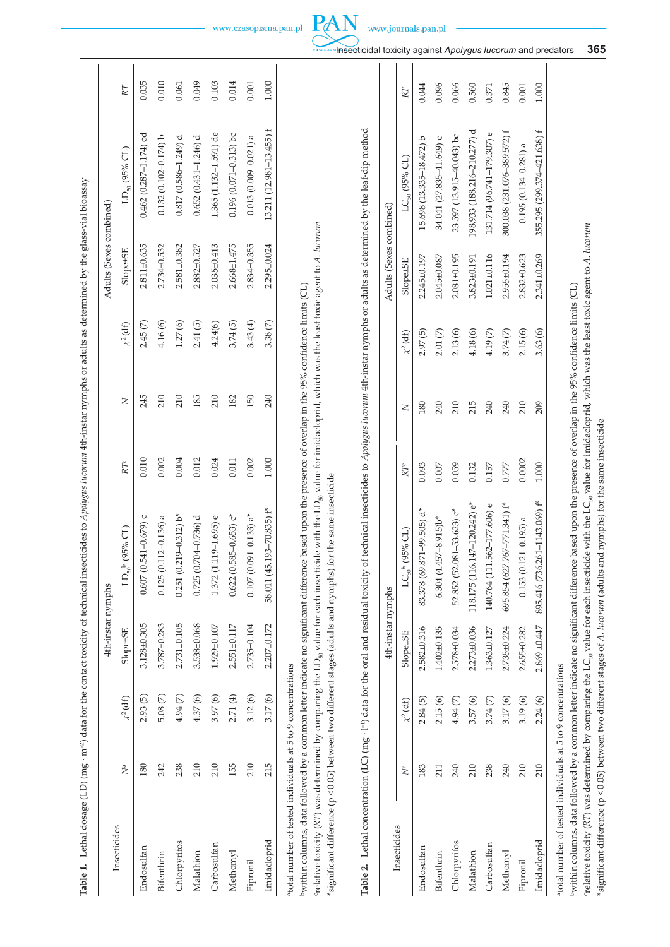|              |     |                              | 4th-instar nymphs |                                       |       |     |               | Adults (Sexes combined) |                           |       |
|--------------|-----|------------------------------|-------------------|---------------------------------------|-------|-----|---------------|-------------------------|---------------------------|-------|
| Insecticides | Ž   | $\chi^2({\rm d} \mathrm{f})$ | Slope±SE          | $D_{50}^{\ b}$ (95% CL)               | RTc   | z   | $\chi^2$ (df) | Slope±SE                | $\text{LD}_{50}$ (95% CL) | RT    |
| Endosulfan   | 180 | 2.93(5)                      | 3.128±0.305       | $0.607(0.541 - 0.679)$ c              | 0.010 | 245 | 2.45(7)       | 2.811±0.635             | $0.462(0.287 - 1.174)$ cd | 0.035 |
| Bifenthrin   | 242 | 5.08(7)                      | 3.787±0.283       | $0.125(0.112 - 0.136)$ a              | 0.002 | 210 | 4.16(6)       | 2.734±0.532             | $0.132(0.102 - 0.174)$ b  | 0.010 |
| Chlorpyrifos | 238 | 4.94 (7)                     | $2.731 \pm 0.105$ | $0.251(0.219 - 0.312)$ b*             | 0.004 | 210 | 1.27(6)       | $2.581 + 0.382$         | $0.817(0.586 - 1.249)$ d  | 0.061 |
| Malathion    | 210 | 4.37(6)                      | 3.538±0.068       | $0.725(0.704 - 0.736)$ d              | 0.012 | 185 | 2.41(5)       | 2.882±0.527             | $0.652(0.431 - 1.246)d$   | 0.049 |
| Carbosulfan  | 210 | 3.97(6)                      | 1.929±0.107       | 1.372 (1.119-1.695) e                 | 0.024 | 210 | 4.24(6)       | $2.035 \pm 0.413$       | 1.365 (1.132-1.591) de    | 0.103 |
| Methomyl     | 155 | 2.71(4)                      | $2.551 \pm 0.117$ | $0.622(0.585 - 0.653)$ $C^*$          | 0.011 | 182 | 3.74(5)       | 2.668±1.475             | $0.196(0.071 - 0.313)$ bc | 0.014 |
| Fipronil     | 210 | 3.12(6)                      | 2.735±0.104       | $0.107(0.091 - 0.133)$ a <sup>*</sup> | 0.002 | 50  | 3.43(4)       | 2.834±0.355             | $0.013(0.009 - 0.021)$ a  | 0.001 |
| Imidacloprid | 215 | 3.17(6)                      | 2.207±0.172       | 58.011 (45.193-70.835) f*             | 1.000 | 240 | 3.38 (7)      | 2.295±0.024             | 13.211 (12.981-13.455) f  | 1.000 |

relative toxicity (RT) was determined by comparing the LD<sub>s0</sub> value for each insecticide with the LD<sub>s0</sub> value for imidacloprid, which was the least toxic agent to A. lucorum relative toxicity (*RT*) was determined by comparing the LD<sub>50</sub> value for each insecticide with the LD<sub>50</sub> value for imidacloprid, which was the least toxic agent to *A. lucorum* bwithin columns, data followed by a common letter indicate no significant difference based upon the presence of overlap in the 95% confidence limits (CL) bwithin columns, data followed by a common letter indicate no significant difference based upon the presence of overlap in the 95% confidence limits (CL)

\*significant difference (p < 0.05) between two different stages (adults and nymphs) for the same insecticide

\*significant difference (p < 0.05) between two different stages (adults and nymphs) for the same insecticide

|                                                              |                            |                                | 4th-instar nymphs    |                                               |        |                |                       | Adults (Sexes combined) |                             |       |
|--------------------------------------------------------------|----------------------------|--------------------------------|----------------------|-----------------------------------------------|--------|----------------|-----------------------|-------------------------|-----------------------------|-------|
| Insecticides                                                 | $\mathcal{L}^{\mathsf{a}}$ | $\chi^2(\mathrm{d}\mathrm{f})$ | Slope±SE             | $\text{LC}_{50}^{\quad b}\ (95\%\ \text{CL})$ | RTc    | z              | $\chi^2(d\mathrm{f})$ | Slope±SE                | $LC_{50}$ (95% CL)          | RT    |
| Endosulfan                                                   | 183                        | 2.84 (5)                       | 2.582±0.316          | 83.378 (69.871-99.505) d*                     | 0.093  | 80             | 2.97(5)               | 2.245±0.197             | 15.698 (13.335-18.472) b    | 0.044 |
| Bifenthrin                                                   | 211                        | 2.15(6)                        | 1.402±0.135          | $6.304(4.457 - 8.915)b*$                      | 0.007  | 240            | 2.01(7)               | 2.045±0.087             | 34.041 (27.835-41.649) c    | 0.096 |
| Chlorpyrifos                                                 | 240                        | 4.94 (7)                       | 2.578±0.034          | 52.852 (52.081-53.623) $\mathcal{C}^*$        | 0.059  | $\frac{10}{2}$ | 2.13(6)               | $2.081 \pm 0.195$       | 23.597 (13.915-40.043) bc   | 0.066 |
| Malathion                                                    | 210                        | 3.57(6)                        | 2.273±0.036          | 118.175 (116.147-120.242) e*                  | 0.132  | 215            | 4.18(6)               | 3.823±0.191             | 198.933 (188.216-210.277) d | 0.560 |
| Carbosulfan                                                  | 238                        | 3.74(7)                        | 1.363±0.127          | 140.764 (111.562-177.606) e                   | 0.157  | 240            | 4.19(7)               | $1.021 \pm 0.116$       | 131.714 (96.741-179.307) e  | 0.371 |
| Methomyl                                                     | 240                        | 3.17(6)                        | 2.735±0.224          | 695.854 (627.767-771.341) f*                  | 0.777  | 240            | 3.74(7)               | $2.955 \pm 0.194$       | 300.038 (231.076-389.572) f | 0.845 |
| Fipronil                                                     | 210                        | 3.19(6)                        | $2.655 \pm 0.282$    | $0.153$ (0.121-0.195) a                       | 0.0002 | 210            | 2.15(6)               | 2.832±0.623             | $0.195(0.134 - 0.281)$ a    | 0.001 |
| Imidacloprid                                                 | 210                        | 2.24(6)                        | 2.869 ±0.447 895.416 | $(736.261 - 1143.069)$ f <sup>*</sup>         | 1.000  | 209            | 3.63 (6)              | 2.341±0.269             | 355.295 (299.374-421.638) f | 1.000 |
| atotal number of tested individuals at 5 to 9 concentrations |                            |                                |                      |                                               |        |                |                       |                         |                             |       |

relative toxicity (*RT*) was determined by comparing the LC<sub>50</sub> value for each insecticide with the LC<sub>50</sub> value for imidacloprid, which was the least toxic agent to *A. lucorum* \*significant difference ( $p < 0.05$ ) between two different stages of A. lucorum (adults and nymphs) for the same insecticide \*significant difference (p < 0.05) between two different stages of *A. lucorum* (adults and nymphs) for the same insecticide

 $P_{\sigma}$ 

 $\overline{\phantom{a}}$  $\overline{\phantom{a}}$  $\overline{\phantom{a}}$   $\overline{\phantom{a}}$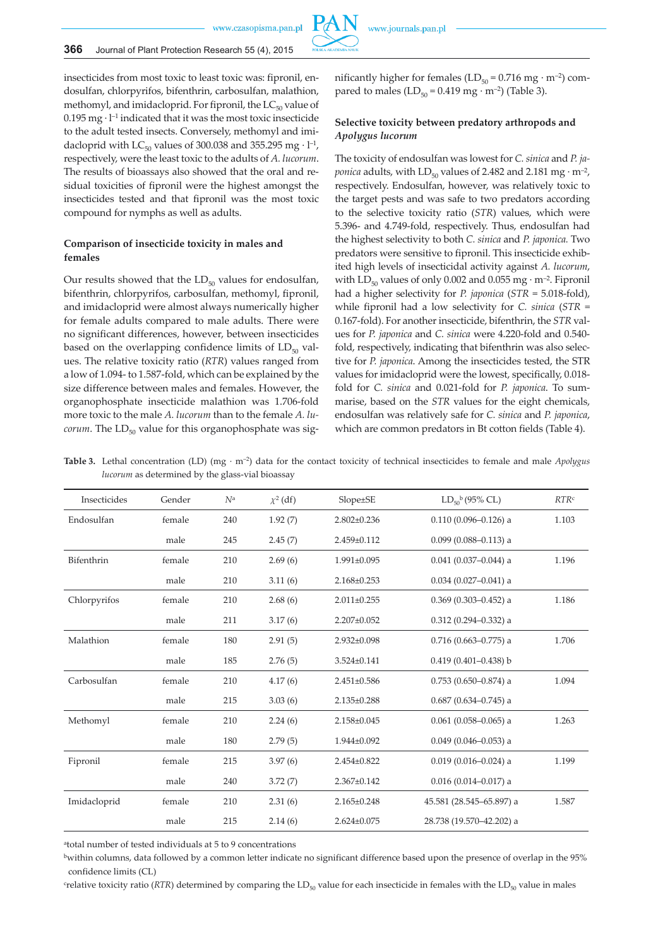

insecticides from most toxic to least toxic was: fipronil, endosulfan, chlorpyrifos, bifenthrin, carbosulfan, malathion, methomyl, and imidacloprid. For fipronil, the  $LC_{50}$  value of  $0.195$  mg $\cdot$  l<sup>-1</sup> indicated that it was the most toxic insecticide to the adult tested insects. Conversely, methomyl and imidacloprid with  $LC_{50}$  values of 300.038 and 355.295 mg  $\cdot$  l<sup>-1</sup>, respectively, were the least toxic to the adults of *A. lucorum*. The results of bioassays also showed that the oral and residual toxicities of fipronil were the highest amongst the insecticides tested and that fipronil was the most toxic compound for nymphs as well as adults.

## **Comparison of insecticide toxicity in males and females**

Our results showed that the  $LD_{50}$  values for endosulfan, bifenthrin, chlorpyrifos, carbosulfan, methomyl, fipronil, and imidacloprid were almost always numerically higher for female adults compared to male adults. There were no significant differences, however, between insecticides based on the overlapping confidence limits of  $LD_{50}$  values. The relative toxicity ratio (*RTR*) values ranged from a low of 1.094- to 1.587-fold, which can be explained by the size difference between males and females. However, the organophosphate insecticide malathion was 1.706-fold more toxic to the male *A. lucorum* than to the female *A. lucorum*. The  $LD_{50}$  value for this organophosphate was significantly higher for females (LD<sub>50</sub> = 0.716 mg · m<sup>-2</sup>) compared to males ( $LD_{50} = 0.419$  mg  $\cdot$  m<sup>-2</sup>) (Table 3).

## **Selective toxicity between predatory arthropods and** *Apolygus lucorum*

The toxicity of endosulfan was lowest for *C. sinica* and *P. japonica* adults, with  $LD_{50}$  values of 2.482 and 2.181 mg  $\cdot$  m<sup>-2</sup>, respectively. Endosulfan, however, was relatively toxic to the target pests and was safe to two predators according to the selective toxicity ratio (*STR*) values, which were 5.396- and 4.749-fold, respectively. Thus, endosulfan had the highest selectivity to both *C. sinica* and *P. japonica.* Two predators were sensitive to fipronil. This insecticide exhibited high levels of insecticidal activity against *A. lucorum*, with  $LD_{50}$  values of only 0.002 and 0.055 mg  $\cdot$  m<sup>-2</sup>. Fipronil had a higher selectivity for *P. japonica* (*STR* = 5.018-fold), while fipronil had a low selectivity for *C. sinica* (*STR* = 0.167-fold). For another insecticide, bifenthrin, the *STR* values for *P. japonica* and *C. sinica* were 4.220-fold and 0.540 fold, respectively, indicating that bifenthrin was also selective for *P. japonica*. Among the insecticides tested, the STR values for imidacloprid were the lowest, specifically, 0.018 fold for *C. sinica* and 0.021-fold for *P. japonica*. To summarise, based on the *STR* values for the eight chemicals, endosulfan was relatively safe for *C. sinica* and *P. japonica*, which are common predators in Bt cotton fields (Table 4).

**Table 3.** Lethal concentration (LD) (mg · m–2) data for the contact toxicity of technical insecticides to female and male *Apolygus lucorum* as determined by the glass-vial bioassay

| Insecticides | Gender | $N^{\rm a}$ | $\chi^2$ (df) | Slope±SE          | $LD_{50}^{\ b}$ (95% CL) | RTR <sup>c</sup> |
|--------------|--------|-------------|---------------|-------------------|--------------------------|------------------|
| Endosulfan   | female | 240         | 1.92(7)       | $2.802 \pm 0.236$ | $0.110(0.096 - 0.126)$ a | 1.103            |
|              | male   | 245         | 2.45(7)       | 2.459±0.112       | $0.099(0.088 - 0.113)$ a |                  |
| Bifenthrin   | female | 210         | 2.69(6)       | 1.991±0.095       | $0.041(0.037 - 0.044)$ a | 1.196            |
|              | male   | 210         | 3.11(6)       | $2.168 \pm 0.253$ | $0.034(0.027 - 0.041)$ a |                  |
| Chlorpyrifos | female | 210         | 2.68(6)       | $2.011 \pm 0.255$ | $0.369$ (0.303-0.452) a  | 1.186            |
|              | male   | 211         | 3.17(6)       | $2.207 \pm 0.052$ | $0.312$ (0.294-0.332) a  |                  |
| Malathion    | female | 180         | 2.91(5)       | 2.932±0.098       | $0.716$ (0.663-0.775) a  | 1.706            |
|              | male   | 185         | 2.76(5)       | $3.524 \pm 0.141$ | $0.419(0.401 - 0.438)$ b |                  |
| Carbosulfan  | female | 210         | 4.17(6)       | $2.451\pm0.586$   | $0.753(0.650 - 0.874)$ a | 1.094            |
|              | male   | 215         | 3.03(6)       | $2.135 \pm 0.288$ | $0.687$ (0.634-0.745) a  |                  |
| Methomyl     | female | 210         | 2.24(6)       | 2.158±0.045       | $0.061(0.058 - 0.065)$ a | 1.263            |
|              | male   | 180         | 2.79(5)       | 1.944±0.092       | $0.049(0.046 - 0.053)$ a |                  |
| Fipronil     | female | 215         | 3.97(6)       | 2.454±0.822       | $0.019(0.016 - 0.024)$ a | 1.199            |
|              | male   | 240         | 3.72(7)       | $2.367 \pm 0.142$ | $0.016(0.014 - 0.017)$ a |                  |
| Imidacloprid | female | 210         | 2.31(6)       | $2.165 \pm 0.248$ | 45.581 (28.545-65.897) a | 1.587            |
|              | male   | 215         | 2.14(6)       | $2.624 \pm 0.075$ | 28.738 (19.570-42.202) a |                  |

atotal number of tested individuals at 5 to 9 concentrations

bwithin columns, data followed by a common letter indicate no significant difference based upon the presence of overlap in the 95% confidence limits (CL)

 $\cdot$ relative toxicity ratio (*RTR*) determined by comparing the  $LD_{50}$  value for each insecticide in females with the  $LD_{50}$  value in males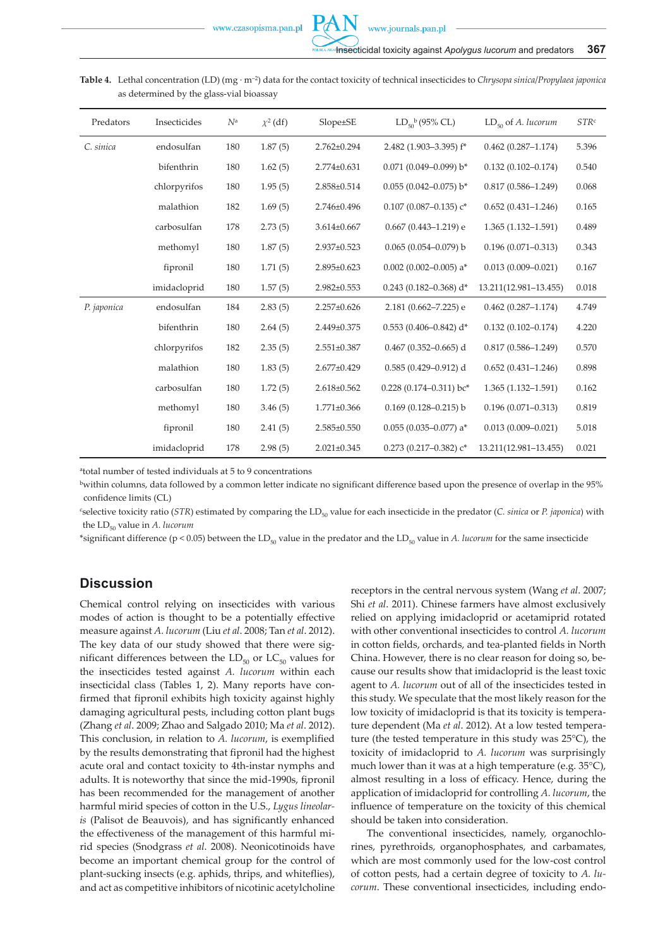www.journals.pan.pl

**Table 4.** Lethal concentration (LD) (mg · m–2) data for the contact toxicity of technical insecticides to *Chrysopa sinica*/*Propylaea japonica* as determined by the glass-vial bioassay

| Predators   | Insecticides | $N^{\rm a}$ | $\chi^2$ (df) | Slope±SE          | $LD_{50}$ <sup>b</sup> (95% CL)       | $LD_{50}$ of A. lucorum | STR <sup>c</sup> |
|-------------|--------------|-------------|---------------|-------------------|---------------------------------------|-------------------------|------------------|
| C. sinica   | endosulfan   | 180         | 1.87(5)       | 2.762±0.294       | 2.482 (1.903-3.395) f*                | $0.462(0.287 - 1.174)$  | 5.396            |
|             | bifenthrin   | 180         | 1.62(5)       | 2.774±0.631       | $0.071$ (0.049-0.099) b*              | $0.132(0.102 - 0.174)$  | 0.540            |
|             | chlorpyrifos | 180         | 1.95(5)       | 2.858±0.514       | $0.055(0.042 - 0.075)$ b <sup>*</sup> | $0.817(0.586 - 1.249)$  | 0.068            |
|             | malathion    | 182         | 1.69(5)       | 2.746±0.496       | $0.107$ (0.087-0.135) $c^*$           | $0.652(0.431 - 1.246)$  | 0.165            |
|             | carbosulfan  | 178         | 2.73(5)       | $3.614 \pm 0.667$ | $0.667$ (0.443-1.219) e               | $1.365(1.132 - 1.591)$  | 0.489            |
|             | methomyl     | 180         | 1.87(5)       | 2.937±0.523       | $0.065(0.054 - 0.079)$ b              | $0.196(0.071 - 0.313)$  | 0.343            |
|             | fipronil     | 180         | 1.71(5)       | 2.895±0.623       | 0.002 (0.002-0.005) $a^*$             | $0.013(0.009 - 0.021)$  | 0.167            |
|             | imidacloprid | 180         | 1.57(5)       | 2.982±0.553       | 0.243 (0.182-0.368) $d^*$             | 13.211(12.981-13.455)   | 0.018            |
| P. japonica | endosulfan   | 184         | 2.83(5)       | $2.257 \pm 0.626$ | 2.181 (0.662-7.225) e                 | $0.462(0.287 - 1.174)$  | 4.749            |
|             | bifenthrin   | 180         | 2.64(5)       | 2.449±0.375       | $0.553(0.406 - 0.842)$ d*             | $0.132(0.102 - 0.174)$  | 4.220            |
|             | chlorpyrifos | 182         | 2.35(5)       | $2.551 \pm 0.387$ | $0.467$ (0.352-0.665) d               | $0.817(0.586 - 1.249)$  | 0.570            |
|             | malathion    | 180         | 1.83(5)       | 2.677±0.429       | $0.585(0.429 - 0.912)$ d              | $0.652(0.431-1.246)$    | 0.898            |
|             | carbosulfan  | 180         | 1.72(5)       | 2.618±0.562       | 0.228 (0.174-0.311) bc*               | $1.365(1.132 - 1.591)$  | 0.162            |
|             | methomyl     | 180         | 3.46(5)       | 1.771±0.366       | $0.169(0.128 - 0.215)$ b              | $0.196(0.071 - 0.313)$  | 0.819            |
|             | fipronil     | 180         | 2.41(5)       | 2.585±0.550       | $0.055(0.035 - 0.077)$ a*             | $0.013(0.009 - 0.021)$  | 5.018            |
|             | imidacloprid | 178         | 2.98(5)       | $2.021 \pm 0.345$ | 0.273 (0.217-0.382) $c^*$             | 13.211(12.981-13.455)   | 0.021            |

atotal number of tested individuals at 5 to 9 concentrations

bwithin columns, data followed by a common letter indicate no significant difference based upon the presence of overlap in the 95% confidence limits (CL)

<sup>c</sup>selective toxicity ratio (*STR*) estimated by comparing the LD<sub>50</sub> value for each insecticide in the predator (*C. sinica* or *P. japonica*) with the LD<sub>50</sub> value in *A. lucorum* 

\*significant difference ( $p < 0.05$ ) between the  $LD_{50}$  value in the predator and the  $LD_{50}$  value in *A. lucorum* for the same insecticide

## **Discussion**

Chemical control relying on insecticides with various modes of action is thought to be a potentially effective measure against *A. lucorum* (Liu *et al*. 2008; Tan *et al*. 2012). The key data of our study showed that there were significant differences between the  $LD_{50}$  or  $LC_{50}$  values for the insecticides tested against *A. lucorum* within each insecticidal class (Tables 1, 2). Many reports have confirmed that fipronil exhibits high toxicity against highly damaging agricultural pests, including cotton plant bugs (Zhang *et al*. 2009; Zhao and Salgado 2010; Ma *et al*. 2012). This conclusion, in relation to *A. lucorum*, is exemplified by the results demonstrating that fipronil had the highest acute oral and contact toxicity to 4th-instar nymphs and adults. It is noteworthy that since the mid-1990s, fipronil has been recommended for the management of another harmful mirid species of cotton in the U.S., *Lygus lineolaris* (Palisot de Beauvois), and has significantly enhanced the effectiveness of the management of this harmful mirid species (Snodgrass *et al*. 2008). Neonicotinoids have become an important chemical group for the control of plant-sucking insects (e.g. aphids, thrips, and whiteflies), and act as competitive inhibitors of nicotinic acetylcholine receptors in the central nervous system (Wang *et al*. 2007; Shi *et al*. 2011). Chinese farmers have almost exclusively relied on applying imidacloprid or acetamiprid rotated with other conventional insecticides to control *A. lucorum* in cotton fields, orchards, and tea-planted fields in North China. However, there is no clear reason for doing so, because our results show that imidacloprid is the least toxic agent to *A. lucorum* out of all of the insecticides tested in this study. We speculate that the most likely reason for the low toxicity of imidacloprid is that its toxicity is temperature dependent (Ma *et al*. 2012). At a low tested temperature (the tested temperature in this study was 25°C), the toxicity of imidacloprid to *A. lucorum* was surprisingly much lower than it was at a high temperature (e.g. 35°C), almost resulting in a loss of efficacy. Hence, during the application of imidacloprid for controlling *A. lucorum*, the influence of temperature on the toxicity of this chemical should be taken into consideration.

The conventional insecticides, namely, organochlorines, pyrethroids, organophosphates, and carbamates, which are most commonly used for the low-cost control of cotton pests, had a certain degree of toxicity to *A. lucorum*. These conventional insecticides, including endo-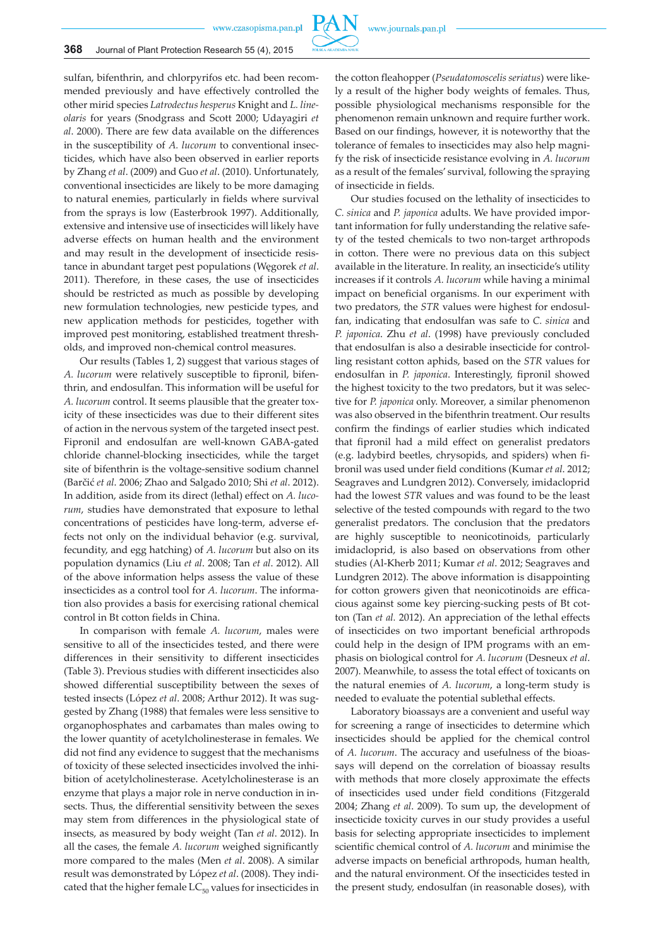

sulfan, bifenthrin, and chlorpyrifos etc. had been recommended previously and have effectively controlled the other mirid species *Latrodectus hesperus* Knight and *L. lineolaris* for years (Snodgrass and Scott 2000; Udayagiri *et al*. 2000). There are few data available on the differences in the susceptibility of *A. lucorum* to conventional insecticides, which have also been observed in earlier reports by Zhang *et al*. (2009) and Guo *et al*. (2010). Unfortunately, conventional insecticides are likely to be more damaging to natural enemies, particularly in fields where survival from the sprays is low (Easterbrook 1997). Additionally, extensive and intensive use of insecticides will likely have adverse effects on human health and the environment and may result in the development of insecticide resistance in abundant target pest populations (Węgorek *et al*. 2011). Therefore, in these cases, the use of insecticides should be restricted as much as possible by developing new formulation technologies, new pesticide types, and new application methods for pesticides, together with improved pest monitoring, established treatment thresholds, and improved non-chemical control measures.

Our results (Tables 1, 2) suggest that various stages of *A. lucorum* were relatively susceptible to fipronil, bifenthrin, and endosulfan. This information will be useful for *A. lucorum* control. It seems plausible that the greater toxicity of these insecticides was due to their different sites of action in the nervous system of the targeted insect pest. Fipronil and endosulfan are well-known GABA-gated chloride channel-blocking insecticides, while the target site of bifenthrin is the voltage-sensitive sodium channel (Barčić *et al*. 2006; Zhao and Salgado 2010; Shi *et al*. 2012). In addition, aside from its direct (lethal) effect on *A. lucorum*, studies have demonstrated that exposure to lethal concentrations of pesticides have long-term, adverse effects not only on the individual behavior (e.g. survival, fecundity, and egg hatching) of *A. lucorum* but also on its population dynamics (Liu *et al*. 2008; Tan *et al*. 2012). All of the above information helps assess the value of these insecticides as a control tool for *A. lucorum*. The information also provides a basis for exercising rational chemical control in Bt cotton fields in China.

In comparison with female *A. lucorum*, males were sensitive to all of the insecticides tested, and there were differences in their sensitivity to different insecticides (Table 3). Previous studies with different insecticides also showed differential susceptibility between the sexes of tested insects (López *et al*. 2008; Arthur 2012). It was suggested by Zhang (1988) that females were less sensitive to organophosphates and carbamates than males owing to the lower quantity of acetylcholinesterase in females. We did not find any evidence to suggest that the mechanisms of toxicity of these selected insecticides involved the inhibition of acetylcholinesterase. Acetylcholinesterase is an enzyme that plays a major role in nerve conduction in insects. Thus, the differential sensitivity between the sexes may stem from differences in the physiological state of insects, as measured by body weight (Tan *et al*. 2012). In all the cases, the female *A. lucorum* weighed significantly more compared to the males (Men *et al*. 2008). A similar result was demonstrated by López *et al*. (2008). They indicated that the higher female  $LC_{50}$  values for insecticides in the cotton fleahopper (*Pseudatomoscelis seriatus*) were likely a result of the higher body weights of females. Thus, possible physiological mechanisms responsible for the phenomenon remain unknown and require further work. Based on our findings, however, it is noteworthy that the tolerance of females to insecticides may also help magnify the risk of insecticide resistance evolving in *A. lucorum* as a result of the females' survival, following the spraying of insecticide in fields.

Our studies focused on the lethality of insecticides to *C. sinica* and *P. japonica* adults. We have provided important information for fully understanding the relative safety of the tested chemicals to two non-target arthropods in cotton. There were no previous data on this subject available in the literature. In reality, an insecticide's utility increases if it controls *A. lucorum* while having a minimal impact on beneficial organisms. In our experiment with two predators, the *STR* values were highest for endosulfan, indicating that endosulfan was safe to *C. sinica* and *P. japonica*. Zhu *et al*. (1998) have previously concluded that endosulfan is also a desirable insecticide for controlling resistant cotton aphids, based on the *STR* values for endosulfan in *P. japonica*. Interestingly, fipronil showed the highest toxicity to the two predators, but it was selective for *P. japonica* only. Moreover, a similar phenomenon was also observed in the bifenthrin treatment. Our results confirm the findings of earlier studies which indicated that fipronil had a mild effect on generalist predators (e.g. ladybird beetles, chrysopids, and spiders) when fibronil was used under field conditions (Kumar *et al*. 2012; Seagraves and Lundgren 2012). Conversely, imidacloprid had the lowest *STR* values and was found to be the least selective of the tested compounds with regard to the two generalist predators. The conclusion that the predators are highly susceptible to neonicotinoids, particularly imidacloprid, is also based on observations from other studies (Al-Kherb 2011; Kumar *et al*. 2012; Seagraves and Lundgren 2012). The above information is disappointing for cotton growers given that neonicotinoids are efficacious against some key piercing-sucking pests of Bt cotton (Tan *et al.* 2012). An appreciation of the lethal effects of insecticides on two important beneficial arthropods could help in the design of IPM programs with an emphasis on biological control for *A. lucorum* (Desneux *et al*. 2007). Meanwhile, to assess the total effect of toxicants on the natural enemies of *A. lucorum*, a long-term study is needed to evaluate the potential sublethal effects.

Laboratory bioassays are a convenient and useful way for screening a range of insecticides to determine which insecticides should be applied for the chemical control of *A. lucorum*. The accuracy and usefulness of the bioassays will depend on the correlation of bioassay results with methods that more closely approximate the effects of insecticides used under field conditions (Fitzgerald 2004; Zhang *et al*. 2009). To sum up, the development of insecticide toxicity curves in our study provides a useful basis for selecting appropriate insecticides to implement scientific chemical control of *A. lucorum* and minimise the adverse impacts on beneficial arthropods, human health, and the natural environment. Of the insecticides tested in the present study, endosulfan (in reasonable doses), with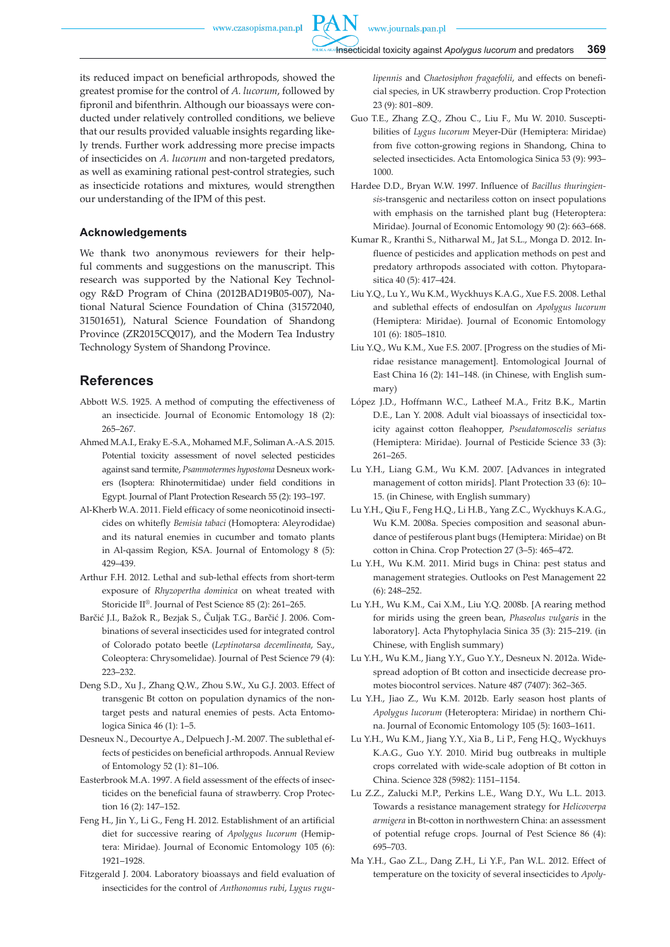**PAN** 

its reduced impact on beneficial arthropods, showed the greatest promise for the control of *A. lucorum*, followed by fipronil and bifenthrin. Although our bioassays were conducted under relatively controlled conditions, we believe that our results provided valuable insights regarding likely trends. Further work addressing more precise impacts of insecticides on *A. lucorum* and non-targeted predators, as well as examining rational pest-control strategies, such as insecticide rotations and mixtures, would strengthen our understanding of the IPM of this pest.

#### **Acknowledgements**

We thank two anonymous reviewers for their helpful comments and suggestions on the manuscript. This research was supported by the National Key Technology R&D Program of China (2012BAD19B05-007), National Natural Science Foundation of China (31572040, 31501651), Natural Science Foundation of Shandong Province (ZR2015CQ017), and the Modern Tea Industry Technology System of Shandong Province.

## **References**

- Abbott W.S. 1925. A method of computing the effectiveness of an insecticide. Journal of Economic Entomology 18 (2): 265–267.
- Ahmed M.A.I., Eraky E.-S.A., Mohamed M.F., Soliman A.-A.S. 2015. Potential toxicity assessment of novel selected pesticides against sand termite, *Psammotermes hypostoma* Desneux workers (Isoptera: Rhinotermitidae) under field conditions in Egypt. Journal of Plant Protection Research 55 (2): 193–197.
- Al-Kherb W.A. 2011. Field efficacy of some neonicotinoid insecticides on whitefly *Bemisia tabaci* (Homoptera: Aleyrodidae) and its natural enemies in cucumber and tomato plants in Al-qassim Region, KSA. Journal of Entomology 8 (5): 429–439.
- Arthur F.H. 2012. Lethal and sub-lethal effects from short-term exposure of *Rhyzopertha dominica* on wheat treated with Storicide II®. Journal of Pest Science 85 (2): 261–265.
- Barčić J.I., Bažok R., Bezjak S., Čuljak T.G., Barčić J. 2006. Combinations of several insecticides used for integrated control of Colorado potato beetle (*Leptinotarsa decemlineata*, Say., Coleoptera: Chrysomelidae). Journal of Pest Science 79 (4): 223–232.
- Deng S.D., Xu J., Zhang Q.W., Zhou S.W., Xu G.J. 2003. Effect of transgenic Bt cotton on population dynamics of the nontarget pests and natural enemies of pests. Acta Entomologica Sinica 46 (1): 1–5.
- Desneux N., Decourtye A., Delpuech J.-M. 2007. The sublethal effects of pesticides on beneficial arthropods. Annual Review of Entomology 52 (1): 81–106.
- Easterbrook M.A. 1997. A field assessment of the effects of insecticides on the beneficial fauna of strawberry. Crop Protection 16 (2): 147–152.
- Feng H., Jin Y., Li G., Feng H. 2012. Establishment of an artificial diet for successive rearing of *Apolygus lucorum* (Hemiptera: Miridae). Journal of Economic Entomology 105 (6): 1921–1928.
- Fitzgerald J. 2004. Laboratory bioassays and field evaluation of insecticides for the control of *Anthonomus rubi*, *Lygus rugu-*

*lipennis* and *Chaetosiphon fragaefolii*, and effects on beneficial species, in UK strawberry production. Crop Protection 23 (9): 801–809.

- Guo T.E., Zhang Z.Q., Zhou C., Liu F., Mu W. 2010. Susceptibilities of *Lygus lucorum* Meyer-Dür (Hemiptera: Miridae) from five cotton-growing regions in Shandong, China to selected insecticides. Acta Entomologica Sinica 53 (9): 993– 1000.
- Hardee D.D., Bryan W.W. 1997. Influence of *Bacillus thuringiensis*-transgenic and nectariless cotton on insect populations with emphasis on the tarnished plant bug (Heteroptera: Miridae). Journal of Economic Entomology 90 (2): 663–668.
- Kumar R., Kranthi S., Nitharwal M., Jat S.L., Monga D. 2012. Influence of pesticides and application methods on pest and predatory arthropods associated with cotton. Phytoparasitica 40 (5): 417–424.
- Liu Y.Q., Lu Y., Wu K.M., Wyckhuys K.A.G., Xue F.S. 2008. Lethal and sublethal effects of endosulfan on *Apolygus lucorum* (Hemiptera: Miridae). Journal of Economic Entomology 101 (6): 1805–1810.
- Liu Y.Q., Wu K.M., Xue F.S. 2007. [Progress on the studies of Miridae resistance management]. Entomological Journal of East China 16 (2): 141–148. (in Chinese, with English summary)
- López J.D., Hoffmann W.C., Latheef M.A., Fritz B.K., Martin D.E., Lan Y. 2008. Adult vial bioassays of insecticidal toxicity against cotton fleahopper, *Pseudatomoscelis seriatus* (Hemiptera: Miridae). Journal of Pesticide Science 33 (3): 261–265.
- Lu Y.H., Liang G.M., Wu K.M. 2007. [Advances in integrated management of cotton mirids]. Plant Protection 33 (6): 10– 15. (in Chinese, with English summary)
- Lu Y.H., Qiu F., Feng H.Q., Li H.B., Yang Z.C., Wyckhuys K.A.G., Wu K.M. 2008a. Species composition and seasonal abundance of pestiferous plant bugs (Hemiptera: Miridae) on Bt cotton in China. Crop Protection 27 (3–5): 465–472.
- Lu Y.H., Wu K.M. 2011. Mirid bugs in China: pest status and management strategies. Outlooks on Pest Management 22 (6): 248–252.
- Lu Y.H., Wu K.M., Cai X.M., Liu Y.Q. 2008b. [A rearing method for mirids using the green bean, *Phaseolus vulgaris* in the laboratory]. Acta Phytophylacia Sinica 35 (3): 215–219. (in Chinese, with English summary)
- Lu Y.H., Wu K.M., Jiang Y.Y., Guo Y.Y., Desneux N. 2012a. Widespread adoption of Bt cotton and insecticide decrease promotes biocontrol services. Nature 487 (7407): 362–365.
- Lu Y.H., Jiao Z., Wu K.M. 2012b. Early season host plants of *Apolygus lucorum* (Heteroptera: Miridae) in northern China. Journal of Economic Entomology 105 (5): 1603–1611.
- Lu Y.H., Wu K.M., Jiang Y.Y., Xia B., Li P., Feng H.Q., Wyckhuys K.A.G., Guo Y.Y. 2010. Mirid bug outbreaks in multiple crops correlated with wide-scale adoption of Bt cotton in China. Science 328 (5982): 1151–1154.
- Lu Z.Z., Zalucki M.P., Perkins L.E., Wang D.Y., Wu L.L. 2013. Towards a resistance management strategy for *Helicoverpa armigera* in Bt-cotton in northwestern China: an assessment of potential refuge crops. Journal of Pest Science 86 (4): 695–703.
- Ma Y.H., Gao Z.L., Dang Z.H., Li Y.F., Pan W.L. 2012. Effect of temperature on the toxicity of several insecticides to *Apoly-*